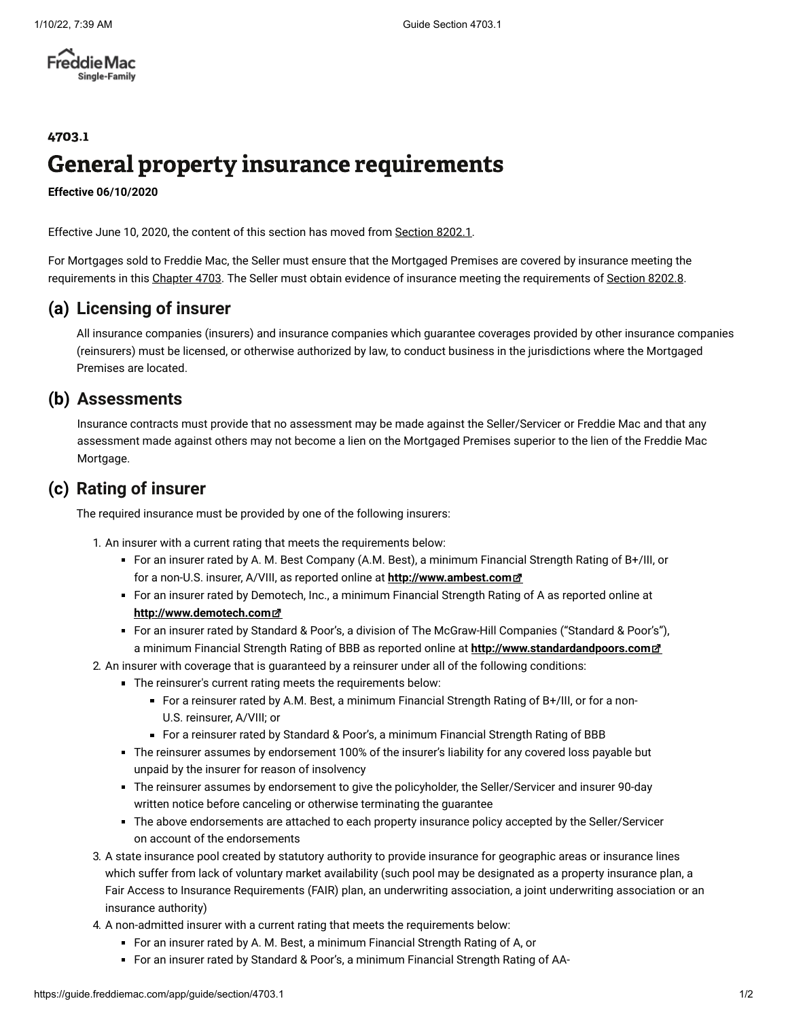**Freddie Mac** Single-Family

## 4703.1 General property insurance requirements

**Effective 06/10/2020**

Effective June 10, 2020, the content of this section has moved from [Section 8202.1.](https://guide.freddiemac.com/app/guide/section/8202.1)

For Mortgages sold to Freddie Mac, the Seller must ensure that the Mortgaged Premises are covered by insurance meeting the requirements in this [Chapter 4703](https://guide.freddiemac.com/app/guide/chapter/4703). The Seller must obtain evidence of insurance meeting the requirements of [Section 8202.8](https://guide.freddiemac.com/app/guide/section/8202.8).

## **(a) Licensing of insurer**

All insurance companies (insurers) and insurance companies which guarantee coverages provided by other insurance companies (reinsurers) must be licensed, or otherwise authorized by law, to conduct business in the jurisdictions where the Mortgaged Premises are located.

## **(b) Assessments**

Insurance contracts must provide that no assessment may be made against the Seller/Servicer or Freddie Mac and that any assessment made against others may not become a lien on the Mortgaged Premises superior to the lien of the Freddie Mac Mortgage.

## **(c) Rating of insurer**

The required insurance must be provided by one of the following insurers:

1. An insurer with a current rating that meets the requirements below:

- For an insurer rated by A. M. Best Company (A.M. Best), a minimum Financial Strength Rating of B+/III, or for a non-U.S. insurer, A/VIII, as reported online at **[http://www.ambest.com](http://www.ambest.com/)**
- For an insurer rated by Demotech, Inc., a minimum Financial Strength Rating of A as reported online at **[http://www.demotech.com](http://www.demotech.com/)**
- For an insurer rated by Standard & Poor's, a division of The McGraw-Hill Companies ("Standard & Poor's"), a minimum Financial Strength Rating of BBB as reported online at **[http://www.standardandpoors.com](http://www.standardandpoors.com/)**
- 2. An insurer with coverage that is guaranteed by a reinsurer under all of the following conditions:
	- The reinsurer's current rating meets the requirements below:
		- For a reinsurer rated by A.M. Best, a minimum Financial Strength Rating of B+/III, or for a non-U.S. reinsurer, A/VIII; or
		- For a reinsurer rated by Standard & Poor's, a minimum Financial Strength Rating of BBB
	- The reinsurer assumes by endorsement 100% of the insurer's liability for any covered loss payable but unpaid by the insurer for reason of insolvency
	- The reinsurer assumes by endorsement to give the policyholder, the Seller/Servicer and insurer 90-day written notice before canceling or otherwise terminating the guarantee
	- The above endorsements are attached to each property insurance policy accepted by the Seller/Servicer on account of the endorsements
- 3. A state insurance pool created by statutory authority to provide insurance for geographic areas or insurance lines which suffer from lack of voluntary market availability (such pool may be designated as a property insurance plan, a Fair Access to Insurance Requirements (FAIR) plan, an underwriting association, a joint underwriting association or an insurance authority)
- 4. A non-admitted insurer with a current rating that meets the requirements below:
	- For an insurer rated by A. M. Best, a minimum Financial Strength Rating of A, or
	- For an insurer rated by Standard & Poor's, a minimum Financial Strength Rating of AA-